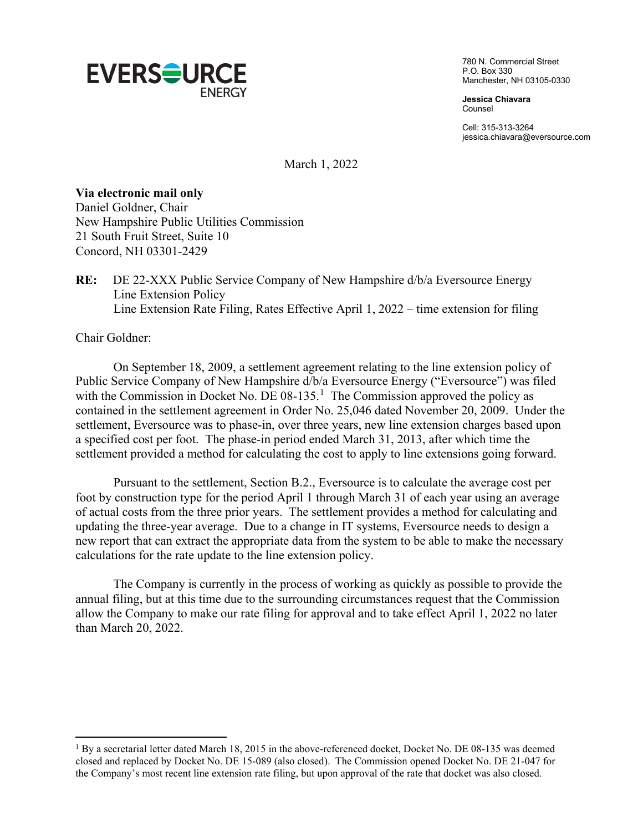

780 N. Commercial Street P.O. Box 330 Manchester, NH 03105-0330

**Jessica Chiavara** Counsel

Cell: 315-313-3264 jessica.chiavara@eversource.com

March 1, 2022

## **Via electronic mail only**

Daniel Goldner, Chair New Hampshire Public Utilities Commission 21 South Fruit Street, Suite 10 Concord, NH 03301-2429

**RE:** DE 22-XXX Public Service Company of New Hampshire d/b/a Eversource Energy Line Extension Policy Line Extension Rate Filing, Rates Effective April 1, 2022 – time extension for filing

Chair Goldner:

On September 18, 2009, a settlement agreement relating to the line extension policy of Public Service Company of New Hampshire d/b/a Eversource Energy ("Eversource") was filed with the Commission in Docket No. DE  $08-135$  $08-135$  $08-135$ .<sup>1</sup> The Commission approved the policy as contained in the settlement agreement in Order No. 25,046 dated November 20, 2009. Under the settlement, Eversource was to phase-in, over three years, new line extension charges based upon a specified cost per foot. The phase-in period ended March 31, 2013, after which time the settlement provided a method for calculating the cost to apply to line extensions going forward.

Pursuant to the settlement, Section B.2., Eversource is to calculate the average cost per foot by construction type for the period April 1 through March 31 of each year using an average of actual costs from the three prior years. The settlement provides a method for calculating and updating the three-year average. Due to a change in IT systems, Eversource needs to design a new report that can extract the appropriate data from the system to be able to make the necessary calculations for the rate update to the line extension policy.

The Company is currently in the process of working as quickly as possible to provide the annual filing, but at this time due to the surrounding circumstances request that the Commission allow the Company to make our rate filing for approval and to take effect April 1, 2022 no later than March 20, 2022.

<span id="page-0-0"></span><sup>&</sup>lt;sup>1</sup> By a secretarial letter dated March 18, 2015 in the above-referenced docket, Docket No. DE 08-135 was deemed closed and replaced by Docket No. DE 15-089 (also closed). The Commission opened Docket No. DE 21-047 for the Company's most recent line extension rate filing, but upon approval of the rate that docket was also closed.